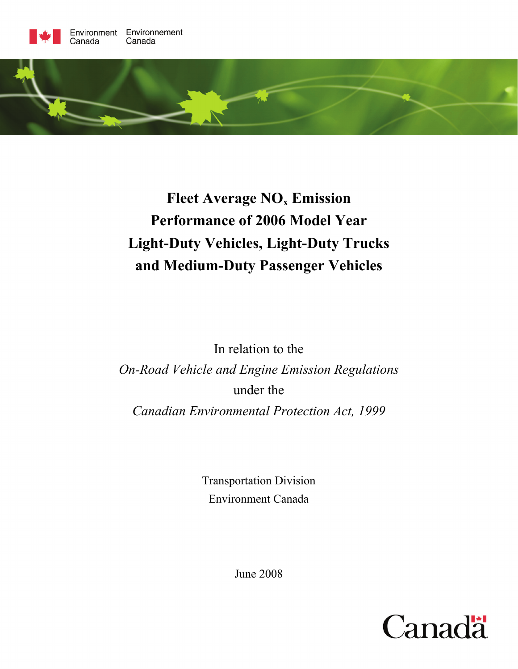

# **Fleet Average NO<sub>x</sub> Emission Performance of 2006 Model Year Light-Duty Vehicles, Light-Duty Trucks and Medium-Duty Passenger Vehicles**

In relation to the *On-Road Vehicle and Engine Emission Regulations*  under the *Canadian Environmental Protection Act, 1999* 

> Transportation Division Environment Canada

> > June 2008

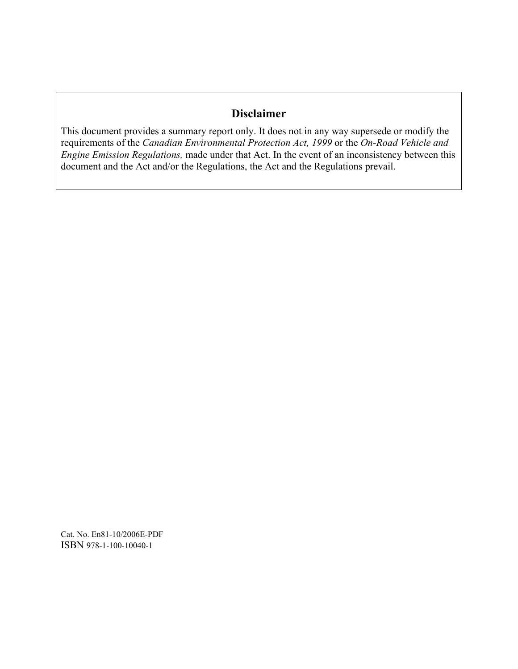# **Disclaimer**

This document provides a summary report only. It does not in any way supersede or modify the requirements of the *Canadian Environmental Protection Act, 1999* or the *On-Road Vehicle and Engine Emission Regulations,* made under that Act. In the event of an inconsistency between this document and the Act and/or the Regulations, the Act and the Regulations prevail.

Cat. No. En81-10/2006E-PDF ISBN 978-1-100-10040-1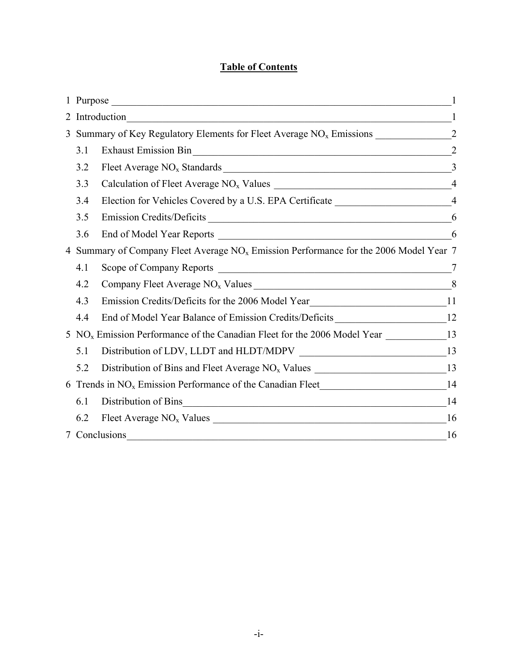# **Table of Contents**

|                                                                                                   |     | 2 Introduction                                                                                        |                |
|---------------------------------------------------------------------------------------------------|-----|-------------------------------------------------------------------------------------------------------|----------------|
|                                                                                                   |     |                                                                                                       |                |
|                                                                                                   | 3.1 | Exhaust Emission Bin 22                                                                               |                |
|                                                                                                   | 3.2 |                                                                                                       | $\overline{3}$ |
|                                                                                                   | 3.3 |                                                                                                       |                |
|                                                                                                   | 3.4 | Election for Vehicles Covered by a U.S. EPA Certificate _________________________4                    |                |
|                                                                                                   | 3.5 |                                                                                                       | 6              |
|                                                                                                   | 3.6 |                                                                                                       | 6              |
| 4 Summary of Company Fleet Average NO <sub>x</sub> Emission Performance for the 2006 Model Year 7 |     |                                                                                                       |                |
|                                                                                                   | 4.1 |                                                                                                       | 7              |
|                                                                                                   | 4.2 |                                                                                                       |                |
|                                                                                                   | 4.3 | Emission Credits/Deficits for the 2006 Model Year________________________________11                   |                |
|                                                                                                   | 4.4 | End of Model Year Balance of Emission Credits/Deficits _________________________12                    |                |
|                                                                                                   |     | 5 NO <sub>x</sub> Emission Performance of the Canadian Fleet for the 2006 Model Year ______________13 |                |
|                                                                                                   | 5.1 | Distribution of LDV, LLDT and HLDT/MDPV __________________________________13                          |                |
|                                                                                                   | 5.2 |                                                                                                       |                |
|                                                                                                   |     |                                                                                                       |                |
|                                                                                                   | 6.1 | Distribution of Bins 14                                                                               |                |
|                                                                                                   | 6.2 |                                                                                                       | 16             |
|                                                                                                   |     | 7 Conclusions                                                                                         | 16             |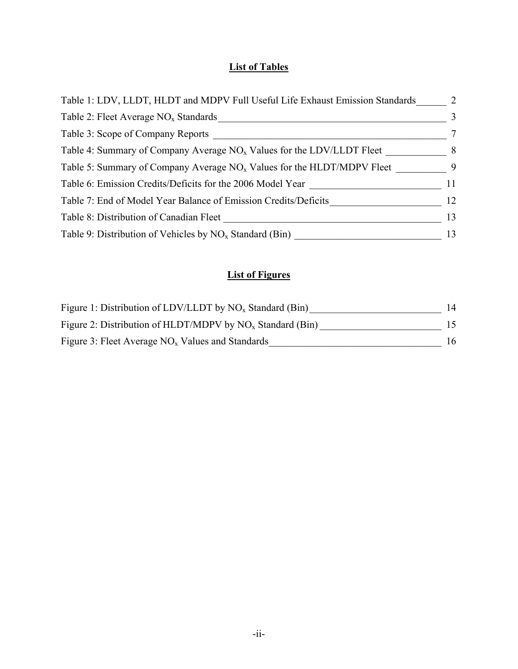# **List of Tables**

| Table 1: LDV, LLDT, HLDT and MDPV Full Useful Life Exhaust Emission Standards | 2              |
|-------------------------------------------------------------------------------|----------------|
| Table 2: Fleet Average $NOx$ Standards                                        | 3              |
| Table 3: Scope of Company Reports                                             | $\tau$         |
| Table 4: Summary of Company Average $NOx$ Values for the LDV/LLDT Fleet       | 8 <sup>8</sup> |
| Table 5: Summary of Company Average $NOx$ Values for the HLDT/MDPV Fleet      | $\overline{9}$ |
| Table 6: Emission Credits/Deficits for the 2006 Model Year                    | 11             |
| Table 7: End of Model Year Balance of Emission Credits/Deficits               | 12             |
| Table 8: Distribution of Canadian Fleet                                       | 13             |
| Table 9: Distribution of Vehicles by $NO_x$ Standard (Bin)                    | 13             |

# **List of Figures**

| Figure 1: Distribution of LDV/LLDT by $NO_x$ Standard (Bin)  | 14  |
|--------------------------------------------------------------|-----|
| Figure 2: Distribution of HLDT/MDPV by $NO_x$ Standard (Bin) | 15. |
| Figure 3: Fleet Average $NOx$ Values and Standards           | 16  |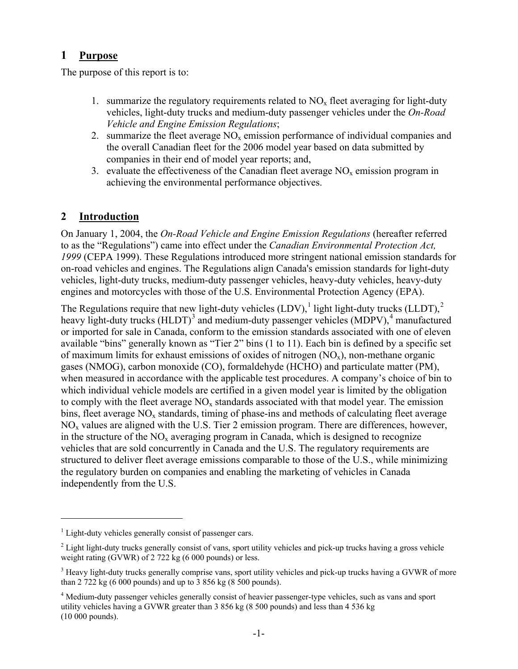# <span id="page-4-1"></span><span id="page-4-0"></span>**1 Purpose**

The purpose of this report is to:

- 1. summarize the regulatory requirements related to  $NO<sub>x</sub>$  fleet averaging for light-duty vehicles, light-duty trucks and medium-duty passenger vehicles under the *On-Road Vehicle and Engine Emission Regulations*;
- 2. summarize the fleet average  $NO<sub>x</sub>$  emission performance of individual companies and the overall Canadian fleet for the 2006 model year based on data submitted by companies in their end of model year reports; and,
- 3. evaluate the effectiveness of the Canadian fleet average  $NO<sub>x</sub>$  emission program in achieving the environmental performance objectives.

# <span id="page-4-2"></span>**2 Introduction**

On January 1, 2004, the *On-Road Vehicle and Engine Emission Regulations* (hereafter referred to as the "Regulations") came into effect under the *Canadian Environmental Protection Act, 1999* (CEPA 1999). These Regulations introduced more stringent national emission standards for on-road vehicles and engines. The Regulations align Canada's emission standards for light-duty vehicles, light-duty trucks, medium-duty passenger vehicles, heavy-duty vehicles, heavy-duty engines and motorcycles with those of the U.S. Environmental Protection Agency (EPA).

The Regulations require that new light-duty vehicles  $(LDV)$ , light light-duty trucks  $(LLDT)$ ,  $2$ heavy light-duty trucks (HLDT)<sup>[3](#page-4-5)</sup> and medium-duty passenger vehicles (MDPV),<sup>[4](#page-4-6)</sup> manufactured or imported for sale in Canada, conform to the emission standards associated with one of eleven available "bins" generally known as "Tier 2" bins (1 to 11). Each bin is defined by a specific set of maximum limits for exhaust emissions of oxides of nitrogen  $(NO_x)$ , non-methane organic gases (NMOG), carbon monoxide (CO), formaldehyde (HCHO) and particulate matter (PM), when measured in accordance with the applicable test procedures. A company's choice of bin to which individual vehicle models are certified in a given model year is limited by the obligation to comply with the fleet average  $NO<sub>x</sub>$  standards associated with that model year. The emission bins, fleet average  $NO<sub>x</sub>$  standards, timing of phase-ins and methods of calculating fleet average  $NO<sub>x</sub>$  values are aligned with the U.S. Tier 2 emission program. There are differences, however, in the structure of the  $NO<sub>x</sub>$  averaging program in Canada, which is designed to recognize vehicles that are sold concurrently in Canada and the U.S. The regulatory requirements are structured to deliver fleet average emissions comparable to those of the U.S., while minimizing the regulatory burden on companies and enabling the marketing of vehicles in Canada independently from the U.S.

1

<span id="page-4-3"></span><sup>&</sup>lt;sup>1</sup> Light-duty vehicles generally consist of passenger cars.

<span id="page-4-4"></span> $2$  Light light-duty trucks generally consist of vans, sport utility vehicles and pick-up trucks having a gross vehicle weight rating (GVWR) of 2 722 kg (6 000 pounds) or less.

<span id="page-4-5"></span><sup>&</sup>lt;sup>3</sup> Heavy light-duty trucks generally comprise vans, sport utility vehicles and pick-up trucks having a GVWR of more than 2 722 kg (6 000 pounds) and up to 3 856 kg (8 500 pounds).

<span id="page-4-6"></span><sup>&</sup>lt;sup>4</sup> Medium-duty passenger vehicles generally consist of heavier passenger-type vehicles, such as vans and sport utility vehicles having a GVWR greater than 3 856 kg (8 500 pounds) and less than 4 536 kg (10 000 pounds).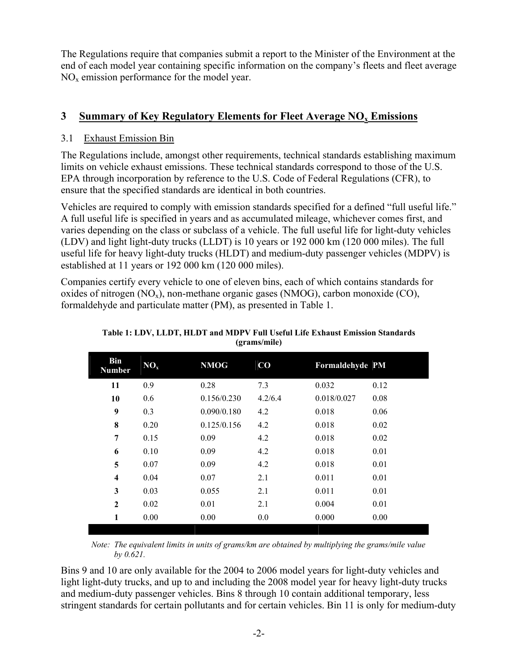<span id="page-5-0"></span>The Regulations require that companies submit a report to the Minister of the Environment at the end of each model year containing specific information on the company's fleets and fleet average NO<sub>x</sub> emission performance for the model year.

# <span id="page-5-1"></span>**3 Summary of Key Regulatory Elements for Fleet Average NO<sub>x</sub> Emissions**

## <span id="page-5-2"></span>3.1 Exhaust Emission Bin

The Regulations include, amongst other requirements, technical standards establishing maximum limits on vehicle exhaust emissions. These technical standards correspond to those of the U.S. EPA through incorporation by reference to the U.S. Code of Federal Regulations (CFR), to ensure that the specified standards are identical in both countries.

Vehicles are required to comply with emission standards specified for a defined "full useful life." A full useful life is specified in years and as accumulated mileage, whichever comes first, and varies depending on the class or subclass of a vehicle. The full useful life for light-duty vehicles (LDV) and light light-duty trucks (LLDT) is 10 years or 192 000 km (120 000 miles). The full useful life for heavy light-duty trucks (HLDT) and medium-duty passenger vehicles (MDPV) is established at 11 years or 192 000 km (120 000 miles).

<span id="page-5-3"></span>Companies certify every vehicle to one of eleven bins, each of which contains standards for oxides of nitrogen  $(NO_x)$ , non-methane organic gases  $(NMOG)$ , carbon monoxide  $(CO)$ , formaldehyde and particulate matter (PM), as presented in Table 1.

| <b>Bin</b><br><b>Number</b> | NO <sub>x</sub> | <b>NMOG</b> | $\bf{CO}$ | Formaldehyde PM |      |
|-----------------------------|-----------------|-------------|-----------|-----------------|------|
| 11                          | 0.9             | 0.28        | 7.3       | 0.032           | 0.12 |
| 10                          | 0.6             | 0.156/0.230 | 4.2/6.4   | 0.018/0.027     | 0.08 |
| 9                           | 0.3             | 0.090/0.180 | 4.2       | 0.018           | 0.06 |
| 8                           | 0.20            | 0.125/0.156 | 4.2       | 0.018           | 0.02 |
| 7                           | 0.15            | 0.09        | 4.2       | 0.018           | 0.02 |
| 6                           | 0.10            | 0.09        | 4.2       | 0.018           | 0.01 |
| 5                           | 0.07            | 0.09        | 4.2       | 0.018           | 0.01 |
| $\overline{\mathbf{4}}$     | 0.04            | 0.07        | 2.1       | 0.011           | 0.01 |
| 3                           | 0.03            | 0.055       | 2.1       | 0.011           | 0.01 |
| $\mathbf{2}$                | 0.02            | 0.01        | 2.1       | 0.004           | 0.01 |
| 1                           | 0.00            | 0.00        | 0.0       | 0.000           | 0.00 |
|                             |                 |             |           |                 |      |

**Table 1: LDV, LLDT, HLDT and MDPV Full Useful Life Exhaust Emission Standards (grams/mile)** 

*Note: The equivalent limits in units of grams/km are obtained by multiplying the grams/mile value by 0.621.* 

Bins 9 and 10 are only available for the 2004 to 2006 model years for light-duty vehicles and light light-duty trucks, and up to and including the 2008 model year for heavy light-duty trucks and medium-duty passenger vehicles. Bins 8 through 10 contain additional temporary, less stringent standards for certain pollutants and for certain vehicles. Bin 11 is only for medium-duty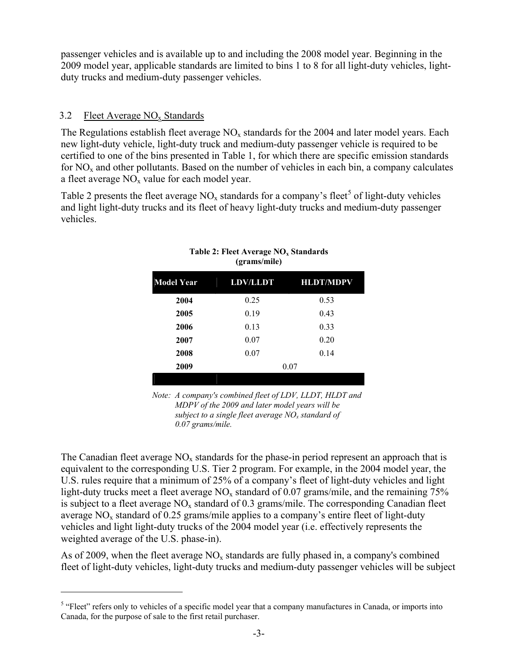<span id="page-6-0"></span>passenger vehicles and is available up to and including the 2008 model year. Beginning in the 2009 model year, applicable standards are limited to bins 1 to 8 for all light-duty vehicles, lightduty trucks and medium-duty passenger vehicles.

## <span id="page-6-1"></span>3.2 Fleet Average  $NO<sub>x</sub>$  Standards

1

The Regulations establish fleet average  $NO<sub>x</sub>$  standards for the 2004 and later model years. Each new light-duty vehicle, light-duty truck and medium-duty passenger vehicle is required to be certified to one of the bins presented in Table 1, for which there are specific emission standards for  $NO<sub>x</sub>$  and other pollutants. Based on the number of vehicles in each bin, a company calculates a fleet average  $NO<sub>x</sub>$  value for each model year.

<span id="page-6-2"></span>Table 2 presents the fleet average  $NO_x$  standards for a company's fleet<sup>[5](#page-6-3)</sup> of light-duty vehicles and light light-duty trucks and its fleet of heavy light-duty trucks and medium-duty passenger vehicles.

| <b>Model Year</b> | <b>LDV/LLDT</b> | <b>HLDT/MDPV</b> |
|-------------------|-----------------|------------------|
| 2004              | 0.25            | 0.53             |
| 2005              | 0.19            | 0.43             |
| 2006              | 0.13            | 0.33             |
| 2007              | 0.07            | 0.20             |
| 2008              | 0.07            | 0.14             |
| 2009              |                 | 0.07             |
|                   |                 |                  |

#### Table 2: Fleet Average NO<sub>x</sub> Standards **(grams/mile)**

*Note: A company's combined fleet of LDV, LLDT, HLDT and MDPV of the 2009 and later model years will be subject to a single fleet average NOx standard of 0.07 grams/mile.*

The Canadian fleet average  $NO<sub>x</sub>$  standards for the phase-in period represent an approach that is equivalent to the corresponding U.S. Tier 2 program. For example, in the 2004 model year, the U.S. rules require that a minimum of 25% of a company's fleet of light-duty vehicles and light light-duty trucks meet a fleet average  $NO<sub>x</sub>$  standard of 0.07 grams/mile, and the remaining 75% is subject to a fleet average  $NO<sub>x</sub>$  standard of 0.3 grams/mile. The corresponding Canadian fleet average  $NO<sub>x</sub>$  standard of 0.25 grams/mile applies to a company's entire fleet of light-duty vehicles and light light-duty trucks of the 2004 model year (i.e. effectively represents the weighted average of the U.S. phase-in).

As of 2009, when the fleet average  $NO<sub>x</sub>$  standards are fully phased in, a company's combined fleet of light-duty vehicles, light-duty trucks and medium-duty passenger vehicles will be subject

<span id="page-6-3"></span><sup>&</sup>lt;sup>5</sup> "Fleet" refers only to vehicles of a specific model year that a company manufactures in Canada, or imports into Canada, for the purpose of sale to the first retail purchaser.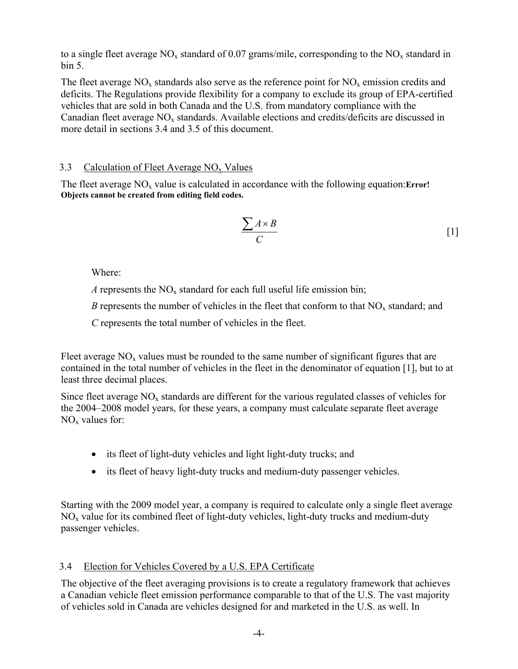<span id="page-7-0"></span>to a single fleet average  $NO_x$  standard of 0.07 grams/mile, corresponding to the  $NO_x$  standard in bin 5.

The fleet average  $NO_x$  standards also serve as the reference point for  $NO_x$  emission credits and deficits. The Regulations provide flexibility for a company to exclude its group of EPA-certified vehicles that are sold in both Canada and the U.S. from mandatory compliance with the Canadian fleet average  $NO<sub>x</sub>$  standards. Available elections and credits/deficits are discussed in more detail in sections [3.4](#page-7-2) and [3.5](#page-9-1) of this document.

## <span id="page-7-1"></span>3.3 Calculation of Fleet Average  $NO<sub>x</sub>$  Values

The fleet average NO<sub>x</sub> value is calculated in accordance with the following equation:**Error! Objects cannot be created from editing field codes.**

$$
\frac{\sum A \times B}{C} \tag{1}
$$

Where:

*A* represents the  $NO<sub>x</sub>$  standard for each full useful life emission bin;

*B* represents the number of vehicles in the fleet that conform to that  $NO<sub>x</sub>$  standard; and

 *C* represents the total number of vehicles in the fleet.

Fleet average  $NO<sub>x</sub>$  values must be rounded to the same number of significant figures that are contained in the total number of vehicles in the fleet in the denominator of equation [1], but to at least three decimal places.

Since fleet average  $NO<sub>x</sub>$  standards are different for the various regulated classes of vehicles for the 2004–2008 model years, for these years, a company must calculate separate fleet average  $NO<sub>x</sub>$  values for:

- its fleet of light-duty vehicles and light light-duty trucks; and
- its fleet of heavy light-duty trucks and medium-duty passenger vehicles.

Starting with the 2009 model year, a company is required to calculate only a single fleet average  $NO<sub>x</sub>$  value for its combined fleet of light-duty vehicles, light-duty trucks and medium-duty passenger vehicles.

## <span id="page-7-2"></span>3.4 Election for Vehicles Covered by a U.S. EPA Certificate

The objective of the fleet averaging provisions is to create a regulatory framework that achieves a Canadian vehicle fleet emission performance comparable to that of the U.S. The vast majority of vehicles sold in Canada are vehicles designed for and marketed in the U.S. as well. In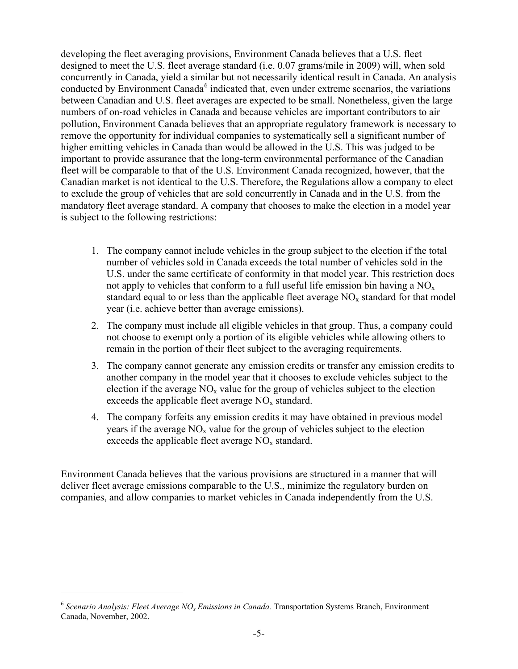developing the fleet averaging provisions, Environment Canada believes that a U.S. fleet designed to meet the U.S. fleet average standard (i.e. 0.07 grams/mile in 2009) will, when sold concurrently in Canada, yield a similar but not necessarily identical result in Canada. An analysis conducted by Environment Canada<sup>[6](#page-8-0)</sup> indicated that, even under extreme scenarios, the variations between Canadian and U.S. fleet averages are expected to be small. Nonetheless, given the large numbers of on-road vehicles in Canada and because vehicles are important contributors to air pollution, Environment Canada believes that an appropriate regulatory framework is necessary to remove the opportunity for individual companies to systematically sell a significant number of higher emitting vehicles in Canada than would be allowed in the U.S. This was judged to be important to provide assurance that the long-term environmental performance of the Canadian fleet will be comparable to that of the U.S. Environment Canada recognized, however, that the Canadian market is not identical to the U.S. Therefore, the Regulations allow a company to elect to exclude the group of vehicles that are sold concurrently in Canada and in the U.S. from the mandatory fleet average standard. A company that chooses to make the election in a model year is subject to the following restrictions:

- 1. The company cannot include vehicles in the group subject to the election if the total number of vehicles sold in Canada exceeds the total number of vehicles sold in the U.S. under the same certificate of conformity in that model year. This restriction does not apply to vehicles that conform to a full useful life emission bin having a  $NO<sub>x</sub>$ standard equal to or less than the applicable fleet average  $NO<sub>x</sub>$  standard for that model year (i.e. achieve better than average emissions).
- 2. The company must include all eligible vehicles in that group. Thus, a company could not choose to exempt only a portion of its eligible vehicles while allowing others to remain in the portion of their fleet subject to the averaging requirements.
- 3. The company cannot generate any emission credits or transfer any emission credits to another company in the model year that it chooses to exclude vehicles subject to the election if the average  $NO<sub>x</sub>$  value for the group of vehicles subject to the election exceeds the applicable fleet average  $NO<sub>x</sub>$  standard.
- 4. The company forfeits any emission credits it may have obtained in previous model years if the average  $NO<sub>x</sub>$  value for the group of vehicles subject to the election exceeds the applicable fleet average  $NO<sub>x</sub>$  standard.

Environment Canada believes that the various provisions are structured in a manner that will deliver fleet average emissions comparable to the U.S., minimize the regulatory burden on companies, and allow companies to market vehicles in Canada independently from the U.S.

 $\overline{a}$ 

<span id="page-8-0"></span><sup>&</sup>lt;sup>6</sup> Scenario Analysis: Fleet Average NO<sub>x</sub> Emissions in Canada. Transportation Systems Branch, Environment Canada, November, 2002.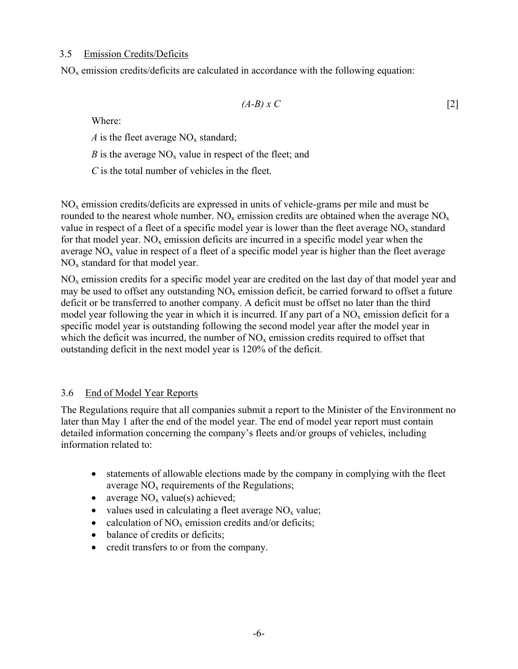#### <span id="page-9-1"></span><span id="page-9-0"></span>3.5 Emission Credits/Deficits

 $NO<sub>x</sub>$  emission credits/deficits are calculated in accordance with the following equation:

$$
(A-B)x C \tag{2}
$$

Where:

*A* is the fleet average  $NO_x$  standard;

*B* is the average  $NO<sub>x</sub>$  value in respect of the fleet; and

*C* is the total number of vehicles in the fleet.

 $NO<sub>x</sub>$  emission credits/deficits are expressed in units of vehicle-grams per mile and must be rounded to the nearest whole number.  $NO_x$  emission credits are obtained when the average  $NO_x$ value in respect of a fleet of a specific model year is lower than the fleet average  $NO<sub>x</sub>$  standard for that model year.  $NO<sub>x</sub>$  emission deficits are incurred in a specific model year when the average  $NO<sub>x</sub>$  value in respect of a fleet of a specific model year is higher than the fleet average  $NO<sub>x</sub>$  standard for that model year.

NOx emission credits for a specific model year are credited on the last day of that model year and may be used to offset any outstanding  $NO<sub>x</sub>$  emission deficit, be carried forward to offset a future deficit or be transferred to another company. A deficit must be offset no later than the third model year following the year in which it is incurred. If any part of a  $NO<sub>x</sub>$  emission deficit for a specific model year is outstanding following the second model year after the model year in which the deficit was incurred, the number of  $NO<sub>x</sub>$  emission credits required to offset that outstanding deficit in the next model year is 120% of the deficit.

## <span id="page-9-2"></span>3.6 End of Model Year Reports

The Regulations require that all companies submit a report to the Minister of the Environment no later than May 1 after the end of the model year. The end of model year report must contain detailed information concerning the company's fleets and/or groups of vehicles, including information related to:

- statements of allowable elections made by the company in complying with the fleet average  $NO<sub>x</sub>$  requirements of the Regulations;
- average  $NO<sub>x</sub>$  value(s) achieved;
- values used in calculating a fleet average  $NO<sub>x</sub>$  value;
- calculation of  $NO_x$  emission credits and/or deficits;
- balance of credits or deficits;
- credit transfers to or from the company.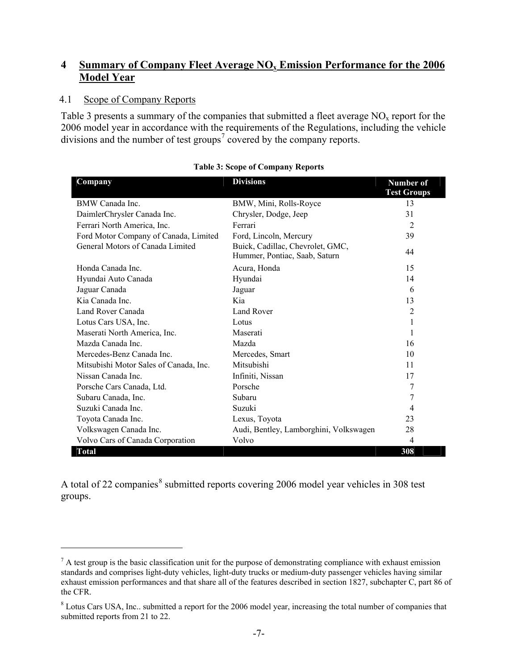## <span id="page-10-1"></span><span id="page-10-0"></span>**4 Summary of Company Fleet Average NOx Emission Performance for the 2006 Model Year**

#### <span id="page-10-2"></span>4.1 Scope of Company Reports

 $\overline{a}$ 

Table 3 presents a summary of the companies that submitted a fleet average  $NO<sub>x</sub>$  report for the 2006 model year in accordance with the requirements of the Regulations, including the vehicle divisions and the number of test groups<sup>[7](#page-10-4)</sup> covered by the company reports.

<span id="page-10-3"></span>

| Company                                | <b>Divisions</b>                                                  | Number of          |
|----------------------------------------|-------------------------------------------------------------------|--------------------|
|                                        |                                                                   | <b>Test Groups</b> |
| BMW Canada Inc.                        | BMW, Mini, Rolls-Royce                                            | 13                 |
| DaimlerChrysler Canada Inc.            | Chrysler, Dodge, Jeep                                             | 31                 |
| Ferrari North America, Inc.            | Ferrari                                                           | $\overline{2}$     |
| Ford Motor Company of Canada, Limited  | Ford, Lincoln, Mercury                                            | 39                 |
| General Motors of Canada Limited       | Buick, Cadillac, Chevrolet, GMC,<br>Hummer, Pontiac, Saab, Saturn | 44                 |
| Honda Canada Inc.                      | Acura, Honda                                                      | 15                 |
| Hyundai Auto Canada                    | Hyundai                                                           | 14                 |
| Jaguar Canada                          | Jaguar                                                            | 6                  |
| Kia Canada Inc.                        | Kia                                                               | 13                 |
| Land Rover Canada                      | Land Rover                                                        | 2                  |
| Lotus Cars USA, Inc.                   | Lotus                                                             | 1                  |
| Maserati North America, Inc.           | Maserati                                                          | 1                  |
| Mazda Canada Inc.                      | Mazda                                                             | 16                 |
| Mercedes-Benz Canada Inc.              | Mercedes, Smart                                                   | 10                 |
| Mitsubishi Motor Sales of Canada, Inc. | Mitsubishi                                                        | 11                 |
| Nissan Canada Inc.                     | Infiniti, Nissan                                                  | 17                 |
| Porsche Cars Canada, Ltd.              | Porsche                                                           | 7                  |
| Subaru Canada, Inc.                    | Subaru                                                            | 7                  |
| Suzuki Canada Inc.                     | Suzuki                                                            | 4                  |
| Toyota Canada Inc.                     | Lexus, Toyota                                                     | 23                 |
| Volkswagen Canada Inc.                 | Audi, Bentley, Lamborghini, Volkswagen                            | 28                 |
| Volvo Cars of Canada Corporation       | Volvo                                                             | 4                  |
| <b>Total</b>                           |                                                                   | 308                |

#### **Table 3: Scope of Company Reports**

A total of 22 companies<sup>[8](#page-10-5)</sup> submitted reports covering 2006 model year vehicles in 308 test groups.

<span id="page-10-4"></span> $<sup>7</sup>$  A test group is the basic classification unit for the purpose of demonstrating compliance with exhaust emission</sup> standards and comprises light-duty vehicles, light-duty trucks or medium-duty passenger vehicles having similar exhaust emission performances and that share all of the features described in section 1827, subchapter C, part 86 of the CFR.

<span id="page-10-5"></span><sup>&</sup>lt;sup>8</sup> Lotus Cars USA, Inc.. submitted a report for the 2006 model year, increasing the total number of companies that submitted reports from 21 to 22.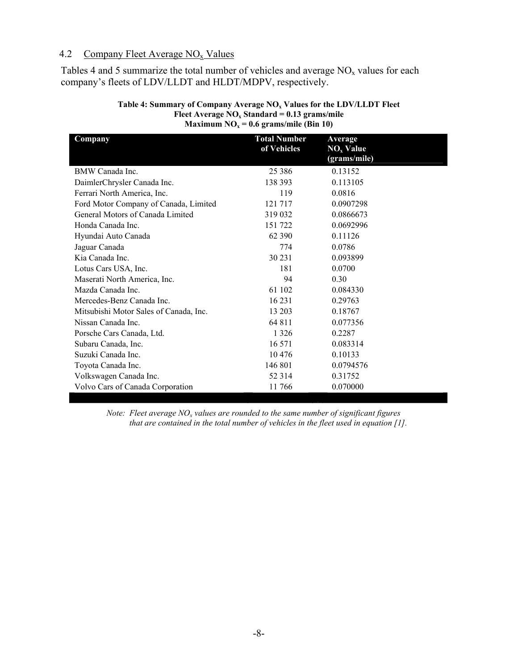#### <span id="page-11-1"></span><span id="page-11-0"></span>4.2 Company Fleet Average  $NO_x$  Values

<span id="page-11-2"></span>Tables 4 and 5 summarize the total number of vehicles and average  $NO<sub>x</sub>$  values for each company's fleets of LDV/LLDT and HLDT/MDPV, respectively.

| Company                                | <b>Total Number</b> | Average      |
|----------------------------------------|---------------------|--------------|
|                                        | of Vehicles         | $NOx$ Value  |
|                                        |                     | (grams/mile) |
| BMW Canada Inc.                        | 25 3 8 6            | 0.13152      |
| DaimlerChrysler Canada Inc.            | 138 393             | 0.113105     |
| Ferrari North America, Inc.            | 119                 | 0.0816       |
| Ford Motor Company of Canada, Limited  | 121 717             | 0.0907298    |
| General Motors of Canada Limited       | 319 032             | 0.0866673    |
| Honda Canada Inc.                      | 151 722             | 0.0692996    |
| Hyundai Auto Canada                    | 62 390              | 0.11126      |
| Jaguar Canada                          | 774                 | 0.0786       |
| Kia Canada Inc.                        | 30 231              | 0.093899     |
| Lotus Cars USA, Inc.                   | 181                 | 0.0700       |
| Maserati North America, Inc.           | 94                  | 0.30         |
| Mazda Canada Inc.                      | 61 102              | 0.084330     |
| Mercedes-Benz Canada Inc.              | 16 2 31             | 0.29763      |
| Mitsubishi Motor Sales of Canada, Inc. | 13 203              | 0.18767      |
| Nissan Canada Inc.                     | 64 811              | 0.077356     |
| Porsche Cars Canada, Ltd.              | 1 3 2 6             | 0.2287       |
| Subaru Canada, Inc.                    | 16 571              | 0.083314     |
| Suzuki Canada Inc.                     | 10476               | 0.10133      |
| Toyota Canada Inc.                     | 146 801             | 0.0794576    |
| Volkswagen Canada Inc.                 | 52 3 14             | 0.31752      |
| Volvo Cars of Canada Corporation       | 11766               | 0.070000     |

#### Table 4: Summary of Company Average NO<sub>x</sub> Values for the LDV/LLDT Fleet Fleet Average NO<sub>x</sub> Standard = 0.13 grams/mile **Maximum NO<sub>x</sub> = 0.6 grams/mile (Bin 10)**

*Note: Fleet average NO<sub>x</sub> values are rounded to the same number of significant figures that are contained in the total number of vehicles in the fleet used in equation [1].*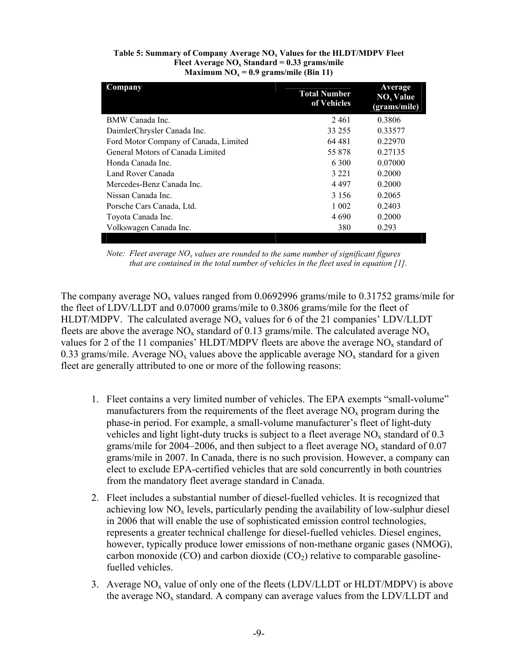<span id="page-12-0"></span>

| Table 5: Summary of Company Average $NOx$ Values for the HLDT/MDPV Fleet |  |
|--------------------------------------------------------------------------|--|
| Fleet Average $NO_x$ Standard = 0.33 grams/mile                          |  |
| Maximum $NO_x = 0.9$ grams/mile (Bin 11)                                 |  |

<span id="page-12-1"></span>

|         | Average<br>$NOx$ Value<br>(grams/mile) |
|---------|----------------------------------------|
| 2461    | 0.3806                                 |
| 33 255  | 0.33577                                |
| 64 481  | 0.22970                                |
| 55 878  | 0.27135                                |
| 6 300   | 0.07000                                |
| 3 2 2 1 | 0.2000                                 |
| 4497    | 0.2000                                 |
| 3 1 5 6 | 0.2065                                 |
| 1 0 0 2 | 0.2403                                 |
| 4 6 9 0 | 0.2000                                 |
| 380     | 0.293                                  |
|         | <b>Total Number</b><br>of Vehicles     |

*Note: Fleet average NO<sub>x</sub> values are rounded to the same number of significant figures that are contained in the total number of vehicles in the fleet used in equation [1].* 

The company average  $NO_x$  values ranged from 0.0692996 grams/mile to 0.31752 grams/mile for the fleet of LDV/LLDT and 0.07000 grams/mile to 0.3806 grams/mile for the fleet of HLDT/MDPV. The calculated average  $NO<sub>x</sub>$  values for 6 of the 21 companies' LDV/LLDT fleets are above the average  $NO_x$  standard of 0.13 grams/mile. The calculated average  $NO_x$ values for 2 of the 11 companies' HLDT/MDPV fleets are above the average  $NO<sub>x</sub>$  standard of 0.33 grams/mile. Average  $NO<sub>x</sub>$  values above the applicable average  $NO<sub>x</sub>$  standard for a given fleet are generally attributed to one or more of the following reasons:

- 1. Fleet contains a very limited number of vehicles. The EPA exempts "small-volume" manufacturers from the requirements of the fleet average  $NO<sub>x</sub>$  program during the phase-in period. For example, a small-volume manufacturer's fleet of light-duty vehicles and light light-duty trucks is subject to a fleet average  $NO<sub>x</sub>$  standard of 0.3 grams/mile for 2004–2006, and then subject to a fleet average  $NO<sub>x</sub>$  standard of 0.07 grams/mile in 2007. In Canada, there is no such provision. However, a company can elect to exclude EPA-certified vehicles that are sold concurrently in both countries from the mandatory fleet average standard in Canada.
- 2. Fleet includes a substantial number of diesel-fuelled vehicles. It is recognized that achieving low  $NO<sub>x</sub>$  levels, particularly pending the availability of low-sulphur diesel in 2006 that will enable the use of sophisticated emission control technologies, represents a greater technical challenge for diesel-fuelled vehicles. Diesel engines, however, typically produce lower emissions of non-methane organic gases (NMOG), carbon monoxide (CO) and carbon dioxide (CO<sub>2</sub>) relative to comparable gasolinefuelled vehicles.
- 3. Average  $NO<sub>x</sub>$  value of only one of the fleets (LDV/LLDT or HLDT/MDPV) is above the average  $NO<sub>x</sub>$  standard. A company can average values from the LDV/LLDT and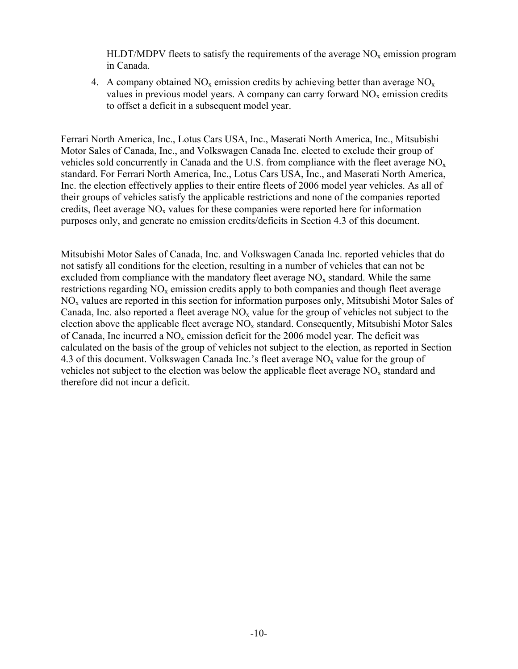$HLDT/MDPV$  fleets to satisfy the requirements of the average  $NO<sub>x</sub>$  emission program in Canada.

4. A company obtained  $NO<sub>x</sub>$  emission credits by achieving better than average  $NO<sub>x</sub>$ values in previous model years. A company can carry forward  $NO<sub>x</sub>$  emission credits to offset a deficit in a subsequent model year.

Ferrari North America, Inc., Lotus Cars USA, Inc., Maserati North America, Inc., Mitsubishi Motor Sales of Canada, Inc., and Volkswagen Canada Inc. elected to exclude their group of vehicles sold concurrently in Canada and the U.S. from compliance with the fleet average  $NO<sub>x</sub>$ standard. For Ferrari North America, Inc., Lotus Cars USA, Inc., and Maserati North America, Inc. the election effectively applies to their entire fleets of 2006 model year vehicles. As all of their groups of vehicles satisfy the applicable restrictions and none of the companies reported credits, fleet average  $NO<sub>x</sub>$  values for these companies were reported here for information purposes only, and generate no emission credits/deficits in Section 4.3 of this document.

Mitsubishi Motor Sales of Canada, Inc. and Volkswagen Canada Inc. reported vehicles that do not satisfy all conditions for the election, resulting in a number of vehicles that can not be excluded from compliance with the mandatory fleet average  $NO<sub>x</sub>$  standard. While the same restrictions regarding  $NO<sub>x</sub>$  emission credits apply to both companies and though fleet average  $NO<sub>x</sub>$  values are reported in this section for information purposes only, Mitsubishi Motor Sales of Canada, Inc. also reported a fleet average  $NO<sub>x</sub>$  value for the group of vehicles not subject to the election above the applicable fleet average  $NO<sub>x</sub>$  standard. Consequently, Mitsubishi Motor Sales of Canada, Inc incurred a  $NO<sub>x</sub>$  emission deficit for the 2006 model year. The deficit was calculated on the basis of the group of vehicles not subject to the election, as reported in Section 4.3 of this document. Volkswagen Canada Inc.'s fleet average  $NO<sub>x</sub>$  value for the group of vehicles not subject to the election was below the applicable fleet average  $NO<sub>x</sub>$  standard and therefore did not incur a deficit.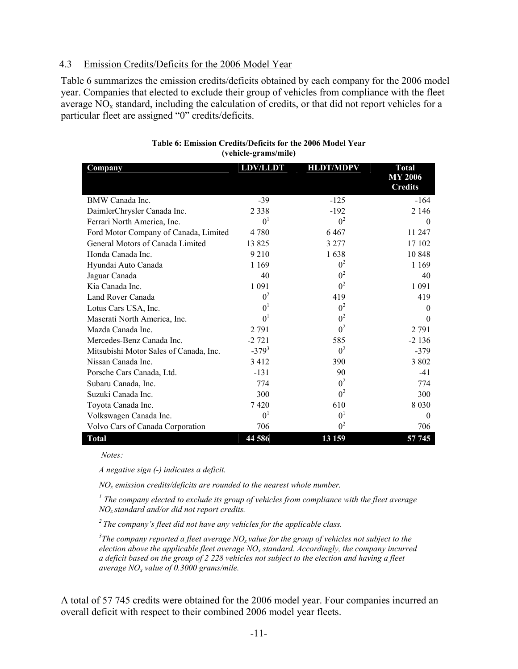#### <span id="page-14-1"></span><span id="page-14-0"></span>4.3 Emission Credits/Deficits for the 2006 Model Year

<span id="page-14-2"></span>Table 6 summarizes the emission credits/deficits obtained by each company for the 2006 model year. Companies that elected to exclude their group of vehicles from compliance with the fleet average  $NO<sub>x</sub>$  standard, including the calculation of credits, or that did not report vehicles for a particular fleet are assigned "0" credits/deficits.

| Company                                | <b>LDV/LLDT</b> | <b>HLDT/MDPV</b> | <b>Total</b>                     |
|----------------------------------------|-----------------|------------------|----------------------------------|
|                                        |                 |                  | <b>MY 2006</b><br><b>Credits</b> |
| BMW Canada Inc.                        | $-39$           | $-125$           | $-164$                           |
| DaimlerChrysler Canada Inc.            | 2 3 3 8         | $-192$           | 2 1 4 6                          |
| Ferrari North America, Inc.            | 0 <sup>1</sup>  | $0^2$            | $\theta$                         |
| Ford Motor Company of Canada, Limited  | 4780            | 6467             | 11 247                           |
| General Motors of Canada Limited       | 13825           | 3 2 7 7          | 17 102                           |
| Honda Canada Inc.                      | 9 2 1 0         | 1638             | 10848                            |
| Hyundai Auto Canada                    | 1 1 6 9         | $0^2$            | 1 1 6 9                          |
| Jaguar Canada                          | 40              | 0 <sup>2</sup>   | 40                               |
| Kia Canada Inc.                        | 1 0 9 1         | $0^2$            | 1 0 9 1                          |
| Land Rover Canada                      | 0 <sup>2</sup>  | 419              | 419                              |
| Lotus Cars USA, Inc.                   | 0 <sup>1</sup>  | $0^2$            | $\theta$                         |
| Maserati North America, Inc.           | 0 <sup>1</sup>  | $0^2$            | $\theta$                         |
| Mazda Canada Inc.                      | 2 7 9 1         | 0 <sup>2</sup>   | 2 7 9 1                          |
| Mercedes-Benz Canada Inc.              | $-2721$         | 585              | $-2136$                          |
| Mitsubishi Motor Sales of Canada, Inc. | $-379^{3}$      | $0^2$            | $-379$                           |
| Nissan Canada Inc.                     | 3412            | 390              | 3 8 0 2                          |
| Porsche Cars Canada, Ltd.              | $-131$          | 90               | -41                              |
| Subaru Canada, Inc.                    | 774             | 0 <sup>2</sup>   | 774                              |
| Suzuki Canada Inc.                     | 300             | $0^2$            | 300                              |
| Toyota Canada Inc.                     | 7420            | 610              | 8 0 3 0                          |
| Volkswagen Canada Inc.                 | 0 <sup>1</sup>  | 0 <sup>1</sup>   | $\Omega$                         |
| Volvo Cars of Canada Corporation       | 706             | 0 <sup>2</sup>   | 706                              |
| Total                                  | 44 586          | 13 159           | 57 745                           |

#### **Table 6: Emission Credits/Deficits for the 2006 Model Year (vehicle-grams/mile)**

 *Notes:* 

*A negative sign (*-*) indicates a deficit.* 

*NOx emission credits/deficits are rounded to the nearest whole number.* 

<sup>1</sup> The company elected to exclude its group of vehicles from compliance with the fleet average *NOx standard and/or did not report credits.* 

*2 The company's fleet did not have any vehicles for the applicable class.* 

 $^3$ The company reported a fleet average NO<sub>x</sub> value for the group of vehicles not subject to the *election above the applicable fleet average NOx standard. Accordingly, the company incurred a deficit based on the group of 2 228 vehicles not subject to the election and having a fleet average NOx value of 0.3000 grams/mile.*

A total of 57 745 credits were obtained for the 2006 model year. Four companies incurred an overall deficit with respect to their combined 2006 model year fleets.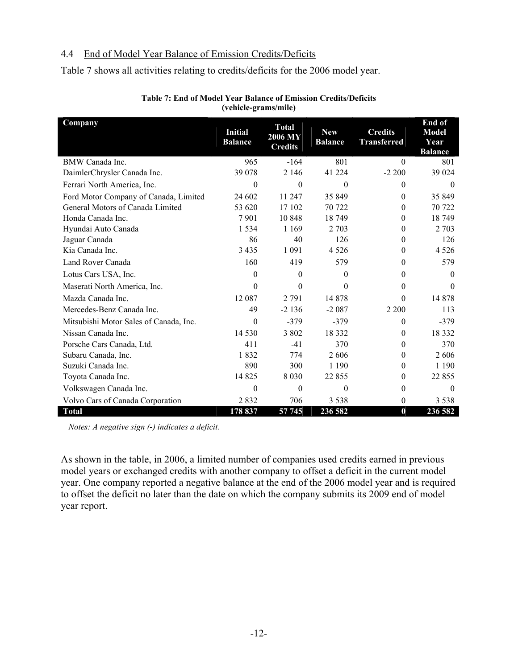### <span id="page-15-1"></span><span id="page-15-0"></span>4.4 End of Model Year Balance of Emission Credits/Deficits

Table 7 shows all activities relating to credits/deficits for the 2006 model year.

<span id="page-15-2"></span>

| Company                                | <b>Initial</b><br><b>Balance</b> | <b>Total</b><br>2006 MY<br><b>Credits</b> | <b>New</b><br><b>Balance</b> | <b>Credits</b><br><b>Transferred</b> | End of<br><b>Model</b><br>Year<br><b>Balance</b> |
|----------------------------------------|----------------------------------|-------------------------------------------|------------------------------|--------------------------------------|--------------------------------------------------|
| BMW Canada Inc.                        | 965                              | $-164$                                    | 801                          | $\theta$                             | 801                                              |
| DaimlerChrysler Canada Inc.            | 39 078                           | 2 1 4 6                                   | 41 224                       | $-2200$                              | 39 024                                           |
| Ferrari North America, Inc.            | $\theta$                         | $\theta$                                  | $\theta$                     | $\theta$                             | $\theta$                                         |
| Ford Motor Company of Canada, Limited  | 24 602                           | 11 247                                    | 35 849                       | $\boldsymbol{0}$                     | 35 849                                           |
| General Motors of Canada Limited       | 53 620                           | 17 102                                    | 70 722                       | $\theta$                             | 70 722                                           |
| Honda Canada Inc.                      | 7901                             | 10 848                                    | 18749                        | $\theta$                             | 18749                                            |
| Hyundai Auto Canada                    | 1 5 3 4                          | 1 1 6 9                                   | 2 7 0 3                      | $\mathbf{0}$                         | 2 7 0 3                                          |
| Jaguar Canada                          | 86                               | 40                                        | 126                          | $\mathbf{0}$                         | 126                                              |
| Kia Canada Inc.                        | 3 4 3 5                          | 1 0 9 1                                   | 4 5 2 6                      | $\mathbf{0}$                         | 4 5 2 6                                          |
| Land Rover Canada                      | 160                              | 419                                       | 579                          | $\theta$                             | 579                                              |
| Lotus Cars USA, Inc.                   | $\theta$                         | $\theta$                                  | 0                            | $\mathbf{0}$                         | $\Omega$                                         |
| Maserati North America, Inc.           | $\theta$                         | $\theta$                                  | $\Omega$                     | $\boldsymbol{0}$                     | $\Omega$                                         |
| Mazda Canada Inc.                      | 12 087                           | 2 7 9 1                                   | 14 878                       | $\theta$                             | 14 878                                           |
| Mercedes-Benz Canada Inc.              | 49                               | $-2136$                                   | $-2087$                      | 2 2 0 0                              | 113                                              |
| Mitsubishi Motor Sales of Canada, Inc. | $\theta$                         | $-379$                                    | $-379$                       | $\theta$                             | $-379$                                           |
| Nissan Canada Inc.                     | 14 5 30                          | 3 802                                     | 18 3 3 2                     | $\theta$                             | 18 3 32                                          |
| Porsche Cars Canada, Ltd.              | 411                              | $-41$                                     | 370                          | $\theta$                             | 370                                              |
| Subaru Canada, Inc.                    | 1832                             | 774                                       | 2606                         | $\mathbf{0}$                         | 2606                                             |
| Suzuki Canada Inc.                     | 890                              | 300                                       | 1 1 9 0                      | $\theta$                             | 1 1 9 0                                          |
| Toyota Canada Inc.                     | 14 8 25                          | 8 0 3 0                                   | 22 855                       | $\mathbf{0}$                         | 22 8 5 5                                         |
| Volkswagen Canada Inc.                 | $\theta$                         | $\theta$                                  | $\theta$                     | $\boldsymbol{0}$                     | $\theta$                                         |
| Volvo Cars of Canada Corporation       | 2832                             | 706                                       | 3 5 3 8                      | $\boldsymbol{0}$                     | 3 5 3 8                                          |
| <b>Total</b>                           | 178 837                          | 57 745                                    | 236 582                      | $\bf{0}$                             | 236 582                                          |

#### **Table 7: End of Model Year Balance of Emission Credits/Deficits (vehicle-grams/mile)**

*Notes: A negative sign (*-*) indicates a deficit.* 

As shown in the table, in 2006, a limited number of companies used credits earned in previous model years or exchanged credits with another company to offset a deficit in the current model year. One company reported a negative balance at the end of the 2006 model year and is required to offset the deficit no later than the date on which the company submits its 2009 end of model year report.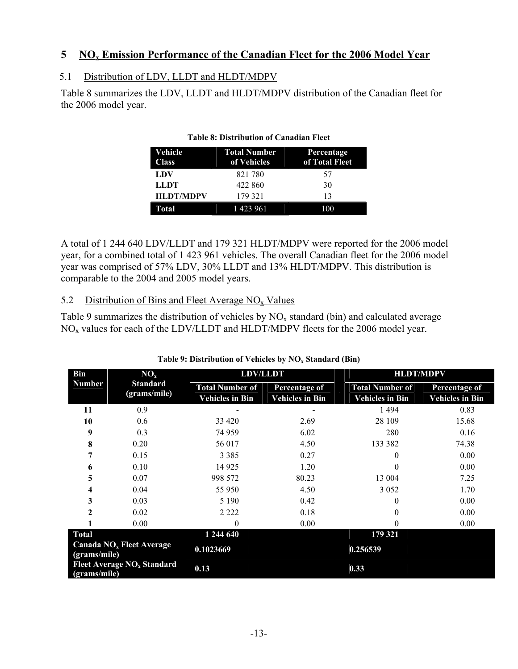## <span id="page-16-1"></span><span id="page-16-0"></span>**5 NOx Emission Performance of the Canadian Fleet for the 2006 Model Year**

## <span id="page-16-2"></span>5.1 Distribution of LDV, LLDT and HLDT/MDPV

<span id="page-16-4"></span>Table 8 summarizes the LDV, LLDT and HLDT/MDPV distribution of the Canadian fleet for the 2006 model year.

| Vehicle<br><b>Class</b> | <b>Total Number</b><br>of Vehicles | Percentage<br>of Total Fleet |
|-------------------------|------------------------------------|------------------------------|
| LDV                     | 821780                             | 57                           |
| LLDT                    | 422 860                            | 30                           |
| <b>HLDT/MDPV</b>        | 179 321                            | 13                           |
| <b>Total</b>            | 1 423 961                          | 100                          |

#### **Table 8: Distribution of Canadian Fleet**

A total of 1 244 640 LDV/LLDT and 179 321 HLDT/MDPV were reported for the 2006 model year, for a combined total of 1 423 961 vehicles. The overall Canadian fleet for the 2006 model year was comprised of 57% LDV, 30% LLDT and 13% HLDT/MDPV. This distribution is comparable to the 2004 and 2005 model years.

## <span id="page-16-3"></span>5.2 Distribution of Bins and Fleet Average  $NO<sub>x</sub>$  Values

Table 9 summarizes the distribution of vehicles by  $NO<sub>x</sub>$  standard (bin) and calculated average  $NO<sub>x</sub>$  values for each of the LDV/LLDT and HLDT/MDPV fleets for the 2006 model year.

<span id="page-16-5"></span>

| <b>Bin</b>                                   | NO <sub>x</sub> | <b>LDV/LLDT</b>        |                        | <b>HLDT/MDPV</b>       |                        |
|----------------------------------------------|-----------------|------------------------|------------------------|------------------------|------------------------|
| <b>Number</b>                                | <b>Standard</b> | <b>Total Number of</b> | Percentage of          | <b>Total Number of</b> | Percentage of          |
|                                              | (grams/mile)    | <b>Vehicles in Bin</b> | <b>Vehicles in Bin</b> | <b>Vehicles in Bin</b> | <b>Vehicles in Bin</b> |
| 11                                           | 0.9             |                        |                        | 1 4 9 4                | 0.83                   |
| 10                                           | 0.6             | 33 4 20                | 2.69                   | 28 109                 | 15.68                  |
| 9                                            | 0.3             | 74 959                 | 6.02                   | 280                    | 0.16                   |
| 8                                            | 0.20            | 56 017                 | 4.50                   | 133 382                | 74.38                  |
| 7                                            | 0.15            | 3 3 8 5                | 0.27                   | 0                      | 0.00                   |
| 6                                            | 0.10            | 14 9 25                | 1.20                   | 0                      | 0.00                   |
| 5                                            | 0.07            | 998 572                | 80.23                  | 13 004                 | 7.25                   |
| 4                                            | 0.04            | 55 950                 | 4.50                   | 3 0 5 2                | 1.70                   |
| 3                                            | 0.03            | 5 1 9 0                | 0.42                   | 0                      | 0.00                   |
| $\mathbf{2}$                                 | 0.02            | 2 2 2 2                | 0.18                   |                        | 0.00                   |
|                                              | 0.00            | 0                      | 0.00                   | 0                      | 0.00                   |
| <b>Total</b>                                 |                 | 1 244 640              |                        | 179 321                |                        |
| Canada $NOx$ Fleet Average<br>(grams/mile)   |                 | 0.1023669              |                        | 0.256539               |                        |
| Fleet Average $NOx$ Standard<br>(grams/mile) |                 | 0.13                   |                        | 0.33                   |                        |

#### Table 9: Distribution of Vehicles by NO<sub>x</sub> Standard (Bin)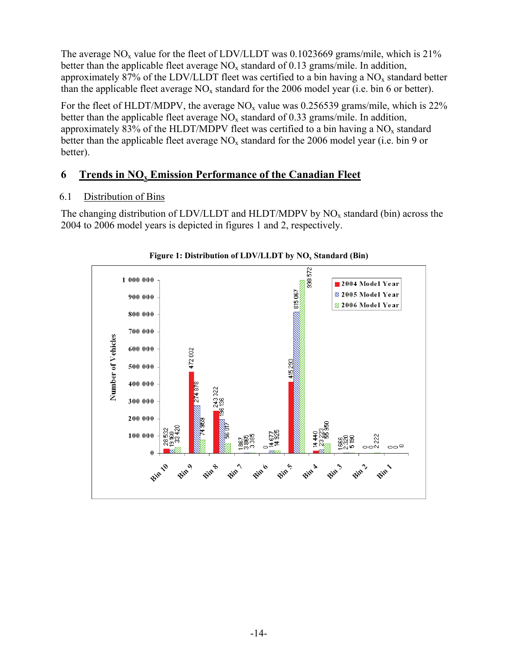<span id="page-17-0"></span>The average  $NO<sub>x</sub>$  value for the fleet of LDV/LLDT was 0.1023669 grams/mile, which is 21% better than the applicable fleet average  $NO_x$  standard of 0.13 grams/mile. In addition, approximately 87% of the LDV/LLDT fleet was certified to a bin having a  $NO<sub>x</sub>$  standard better than the applicable fleet average  $NO_x$  standard for the 2006 model year (i.e. bin 6 or better).

For the fleet of HLDT/MDPV, the average  $NO<sub>x</sub>$  value was 0.256539 grams/mile, which is 22% better than the applicable fleet average  $NO<sub>x</sub>$  standard of 0.33 grams/mile. In addition, approximately 83% of the HLDT/MDPV fleet was certified to a bin having a  $NO<sub>x</sub>$  standard better than the applicable fleet average  $NO<sub>x</sub>$  standard for the 2006 model year (i.e. bin 9 or better).

# <span id="page-17-1"></span>**6 Trends in NOx Emission Performance of the Canadian Fleet**

# <span id="page-17-2"></span>6.1 Distribution of Bins

<span id="page-17-3"></span>The changing distribution of LDV/LLDT and HLDT/MDPV by  $NO<sub>x</sub>$  standard (bin) across the 2004 to 2006 model years is depicted in figures 1 and 2, respectively.



#### Figure 1: Distribution of LDV/LLDT by NO<sub>x</sub> Standard (Bin)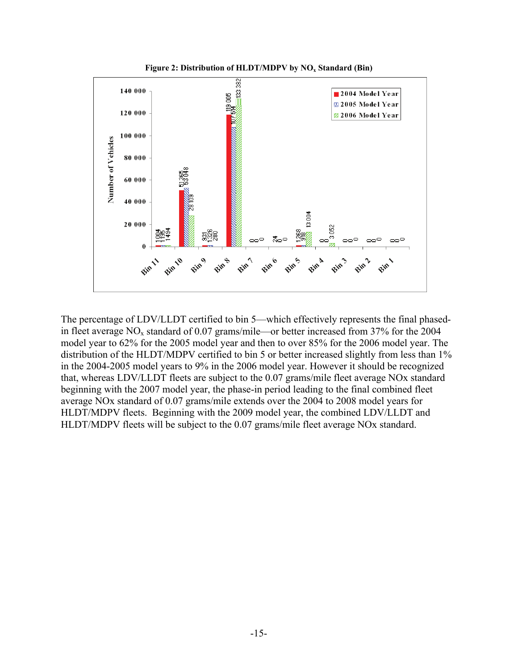<span id="page-18-1"></span><span id="page-18-0"></span>

Figure 2: Distribution of HLDT/MDPV by NO<sub>x</sub> Standard (Bin)

The percentage of LDV/LLDT certified to bin 5—which effectively represents the final phasedin fleet average  $NO<sub>x</sub>$  standard of 0.07 grams/mile—or better increased from 37% for the 2004 model year to 62% for the 2005 model year and then to over 85% for the 2006 model year. The distribution of the HLDT/MDPV certified to bin 5 or better increased slightly from less than 1% in the 2004-2005 model years to 9% in the 2006 model year. However it should be recognized that, whereas LDV/LLDT fleets are subject to the 0.07 grams/mile fleet average NOx standard beginning with the 2007 model year, the phase-in period leading to the final combined fleet average NOx standard of 0.07 grams/mile extends over the 2004 to 2008 model years for HLDT/MDPV fleets. Beginning with the 2009 model year, the combined LDV/LLDT and HLDT/MDPV fleets will be subject to the 0.07 grams/mile fleet average NOx standard.